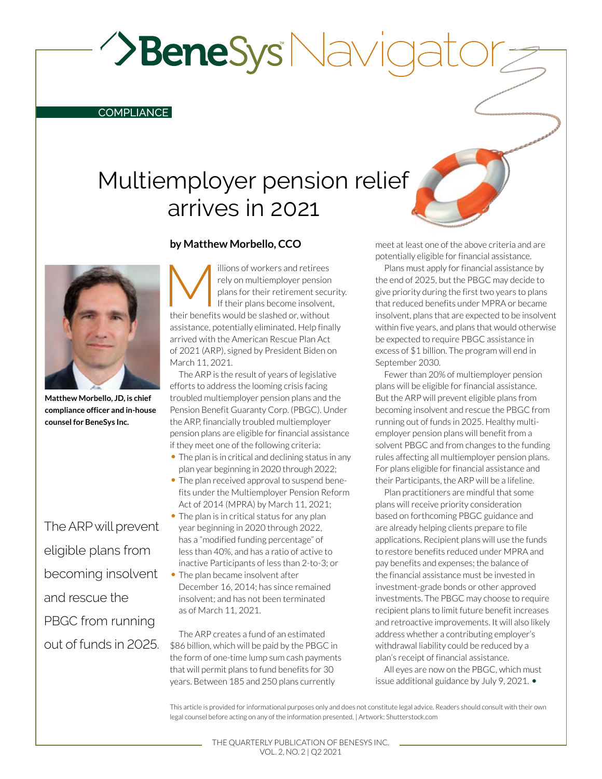**>BeneSys** Navic

#### COMPLIANCE

# Multiemployer pension relief arrives in 2021

## **by Matthew Morbello, CCO**

**Matthew Morbello, JD, is chief compliance officer and in-house counsel for BeneSys Inc.**

The ARP will prevent eligible plans from becoming insolvent and rescue the PBGC from running out of funds in 2025. illions of workers and retirees<br>rely on multiemployer pension<br>plans for their retirement securitheir<br>their benefits would be slashed or without rely on multiemployer pension plans for their retirement security. If their plans become insolvent, their benefits would be slashed or, without assistance, potentially eliminated. Help finally arrived with the American Rescue Plan Act of 2021 (ARP), signed by President Biden on March 11, 2021.

The ARP is the result of years of legislative efforts to address the looming crisis facing troubled multiemployer pension plans and the Pension Benefit Guaranty Corp. (PBGC). Under the ARP, financially troubled multiemployer pension plans are eligible for financial assistance if they meet one of the following criteria:

- The plan is in critical and declining status in any plan year beginning in 2020 through 2022;
- The plan received approval to suspend benefits under the Multiemployer Pension Reform Act of 2014 (MPRA) by March 11, 2021;
- The plan is in critical status for any plan year beginning in 2020 through 2022, has a "modified funding percentage" of less than 40%, and has a ratio of active to inactive Participants of less than 2-to-3; or
- The plan became insolvent after December 16, 2014; has since remained insolvent; and has not been terminated as of March 11, 2021.

The ARP creates a fund of an estimated \$86 billion, which will be paid by the PBGC in the form of one-time lump sum cash payments that will permit plans to fund benefits for 30 years. Between 185 and 250 plans currently

meet at least one of the above criteria and are potentially eligible for financial assistance.

Plans must apply for financial assistance by the end of 2025, but the PBGC may decide to give priority during the first two years to plans that reduced benefits under MPRA or became insolvent, plans that are expected to be insolvent within five years, and plans that would otherwise be expected to require PBGC assistance in excess of \$1 billion. The program will end in September 2030.

Fewer than 20% of multiemployer pension plans will be eligible for financial assistance. But the ARP will prevent eligible plans from becoming insolvent and rescue the PBGC from running out of funds in 2025. Healthy multiemployer pension plans will benefit from a solvent PBGC and from changes to the funding rules affecting all multiemployer pension plans. For plans eligible for financial assistance and their Participants, the ARP will be a lifeline.

Plan practitioners are mindful that some plans will receive priority consideration based on forthcoming PBGC guidance and are already helping clients prepare to file applications. Recipient plans will use the funds to restore benefits reduced under MPRA and pay benefits and expenses; the balance of the financial assistance must be invested in investment-grade bonds or other approved investments. The PBGC may choose to require recipient plans to limit future benefit increases and retroactive improvements. It will also likely address whether a contributing employer's withdrawal liability could be reduced by a plan's receipt of financial assistance.

All eyes are now on the PBGC, which must issue additional guidance by July 9, 2021. •

This article is provided for informational purposes only and does not constitute legal advice. Readers should consult with their own legal counsel before acting on any of the information presented. | Artwork: Shutterstock.com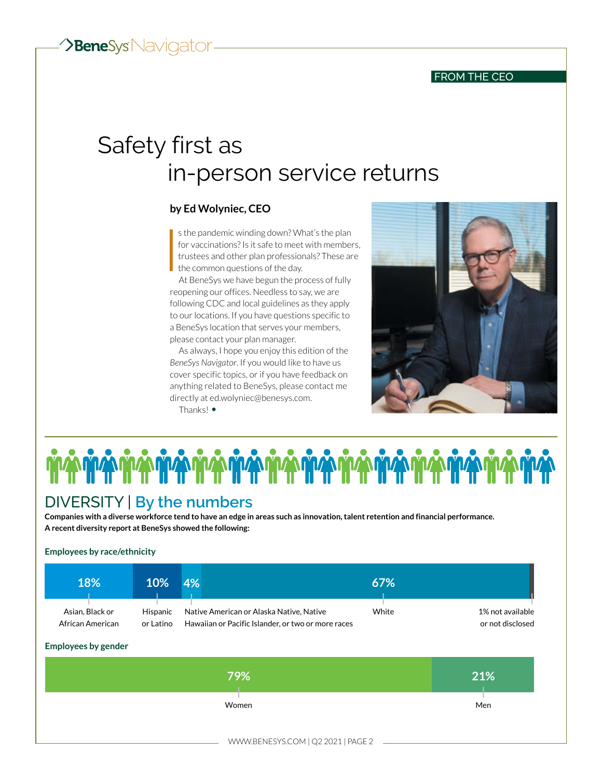### FROM THE CEO

# Safety first as in-person service returns

# **by Ed Wolyniec, CEO**

 $\begin{array}{c}\n\text{1} \\
\text{1} \\
\text{1} \\
\text{1}\n\end{array}$ s the pandemic winding down? What's the plan for vaccinations? Is it safe to meet with members, trustees and other plan professionals? These are  $\blacksquare$  the common questions of the day.

At BeneSys we have begun the process of fully reopening our offices. Needless to say, we are following CDC and local guidelines as they apply to our locations. If you have questions specific to a BeneSys location that serves your members, please contact your plan manager.

As always, I hope you enjoy this edition of the *BeneSys Navigator*. If you would like to have us cover specific topics, or if you have feedback on anything related to BeneSys, please contact me directly at [ed.wolyniec@benesys.com.](mailto:ed.wolyniec%40benesys.com?subject=) Thanks! •





# DIVERSITY | **By the numbers**

**Companies with a diverse workforce tend to have an edge in areas such as innovation, talent retention and financial performance. A recent diversity report at BeneSys showed the following:**

#### **Employees by race/ethnicity**

| <b>18%</b>       | 10%       | 4%                                                 | 67%   |                  |
|------------------|-----------|----------------------------------------------------|-------|------------------|
| Asian, Black or  | Hispanic  | Native American or Alaska Native, Native           | White | 1% not available |
| African American | or Latino | Hawaiian or Pacific Islander, or two or more races |       | or not disclosed |

**Employees by gender**

| 79%                                | 21% |
|------------------------------------|-----|
| Women                              | Men |
| WWW.BENESYS.COM   Q2 2021   PAGE 2 |     |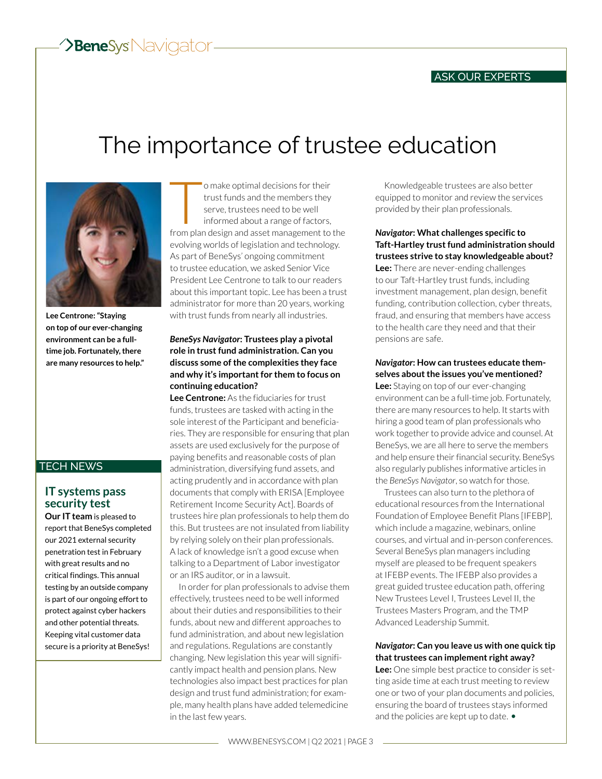# The importance of trustee education



**Lee Centrone: "Staying on top of our ever-changing environment can be a fulltime job. Fortunately, there are many resources to help."**

## TECH NEWS

# **IT systems pass security test**

**Our IT team** is pleased to report that BeneSys completed our 2021 external security penetration test in February with great results and no critical findings. This annual testing by an outside company is part of our ongoing effort to protect against cyber hackers and other potential threats. Keeping vital customer data secure is a priority at BeneSys!

o make optimal decisions for their<br>trust funds and the members they<br>serve, trustees need to be well<br>informed about a range of factors,<br>from plan design and asset management to the o make optimal decisions for their trust funds and the members they serve, trustees need to be well informed about a range of factors, evolving worlds of legislation and technology. As part of BeneSys' ongoing commitment to trustee education, we asked Senior Vice President Lee Centrone to talk to our readers about this important topic. Lee has been a trust administrator for more than 20 years, working with trust funds from nearly all industries.

#### *BeneSys Navigator***: Trustees play a pivotal role in trust fund administration. Can you discuss some of the complexities they face and why it's important for them to focus on continuing education?**

**Lee Centrone:** As the fiduciaries for trust funds, trustees are tasked with acting in the sole interest of the Participant and beneficiaries. They are responsible for ensuring that plan assets are used exclusively for the purpose of paying benefits and reasonable costs of plan administration, diversifying fund assets, and acting prudently and in accordance with plan documents that comply with ERISA [Employee Retirement Income Security Act]. Boards of trustees hire plan professionals to help them do this. But trustees are not insulated from liability by relying solely on their plan professionals. A lack of knowledge isn't a good excuse when talking to a Department of Labor investigator or an IRS auditor, or in a lawsuit.

In order for plan professionals to advise them effectively, trustees need to be well informed about their duties and responsibilities to their funds, about new and different approaches to fund administration, and about new legislation and regulations. Regulations are constantly changing. New legislation this year will significantly impact health and pension plans. New technologies also impact best practices for plan design and trust fund administration; for example, many health plans have added telemedicine in the last few years.

Knowledgeable trustees are also better equipped to monitor and review the services provided by their plan professionals.

*Navigator***: What challenges specific to Taft-Hartley trust fund administration should trustees strive to stay knowledgeable about? Lee:** There are never-ending challenges to our Taft-Hartley trust funds, including investment management, plan design, benefit funding, contribution collection, cyber threats, fraud, and ensuring that members have access to the health care they need and that their pensions are safe.

### *Navigator***: How can trustees educate themselves about the issues you've mentioned?**

**Lee:** Staying on top of our ever-changing environment can be a full-time job. Fortunately, there are many resources to help. It starts with hiring a good team of plan professionals who work together to provide advice and counsel. At BeneSys, we are all here to serve the members and help ensure their financial security. BeneSys also regularly publishes informative articles in the *BeneSys Navigator*, so watch for those.

Trustees can also turn to the plethora of educational resources from the International Foundation of Employee Benefit Plans [IFEBP], which include a magazine, webinars, online courses, and virtual and in-person conferences. Several BeneSys plan managers including myself are pleased to be frequent speakers at IFEBP events. The IFEBP also provides a great guided trustee education path, offering New Trustees Level I, Trustees Level II, the Trustees Masters Program, and the TMP Advanced Leadership Summit.

#### *Navigator***: Can you leave us with one quick tip that trustees can implement right away?**

**Lee:** One simple best practice to consider is setting aside time at each trust meeting to review one or two of your plan documents and policies, ensuring the board of trustees stays informed and the policies are kept up to date. •